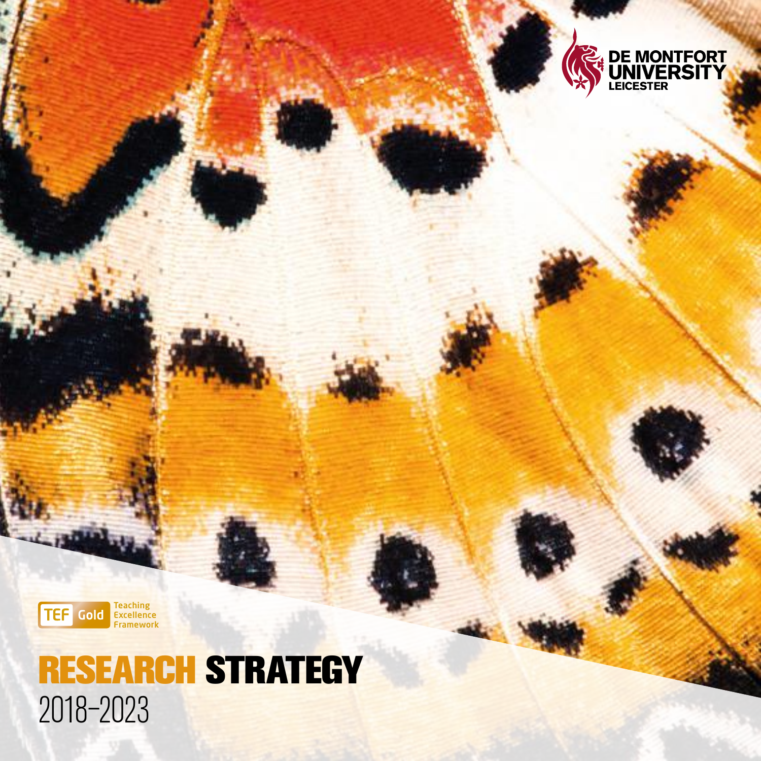



## RESEARCH STRATEGY 2018–2023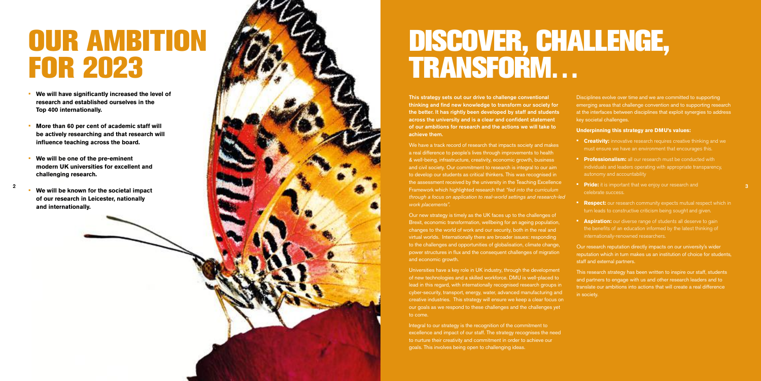DISCOVER, CHALLENGE, TRANSFORM…

This strategy sets out our drive to challenge conventional thinking and find new knowledge to transform our society for the better. It has rightly been developed by staff and students across the university and is a clear and confident statement of our ambitions for research and the actions we will take to

We have a track record of research that impacts society and makes a real difference to people's lives through improvements to health & well-being, infrastructure, creativity, economic growth, business and civil society. Our commitment to research is integral to our aim to develop our students as critical thinkers. This was recognised in the assessment received by the university in the Teaching Excellence Framework which highlighted research that *"fed into the curriculum through a focus on application to real-world settings and research-led* 

# achieve them. *work placements".*

Integral to our strategy is the recognition of the commitment to excellence and impact of our staff. The strategy recognises the need to nurture their creativity and commitment in order to achieve our goals. This involves being open to challenging ideas.

Our new strategy is timely as the UK faces up to the challenges of Brexit, economic transformation, wellbeing for an ageing population, changes to the world of work and our security, both in the real and virtual worlds. Internationally there are broader issues: responding to the challenges and opportunities of globalisation, climate change, power structures in flux and the consequent challenges of migration and economic growth.

**• Creativity:** innovative research requires creative thinking and we must ensure we have an environment that encourages this.

**• Professionalism:** all our research must be conducted with individuals and leaders operating with appropriate transparency, autonomy and accountability

**• Pride:** it is important that we enjoy our research and celebrate success.

**• Respect:** our research community expects mutual respect which in turn leads to constructive criticism being sought and given.

**• Aspiration:** our diverse range of students all deserve to gain the benefits of an education informed by the latest thinking of internationally-renowned researchers.

Universities have a key role in UK industry, through the development of new technologies and a skilled workforce. DMU is well-placed to lead in this regard, with internationally recognised research groups in cyber-security, transport, energy, water, advanced manufacturing and creative industries. This strategy will ensure we keep a clear focus on our goals as we respond to these challenges and the challenges yet to come.

Disciplines evolve over time and we are committed to supporting emerging areas that challenge convention and to supporting research at the interfaces between disciplines that exploit synergies to address key societal challenges.

- 
- 
- 
- 
- 

#### **Underpinning this strategy are DMU's values:**

Our research reputation directly impacts on our university's wider reputation which in turn makes us an institution of choice for students, staff and external partners.

This research strategy has been written to inspire our staff, students and partners to engage with us and other research leaders and to translate our ambitions into actions that will create a real difference

in society.

## OUR AMBITION FOR 2023

- **We will have significantly increased the level of research and established ourselves in the Top 400 internationally.**
- **More than 60 per cent of academic staff will be actively researching and that research will influence teaching across the board.**
- **We will be one of the pre-eminent modern UK universities for excellent and challenging research.**
- **We will be known for the societal impact of our research in Leicester, nationally and internationally.**

2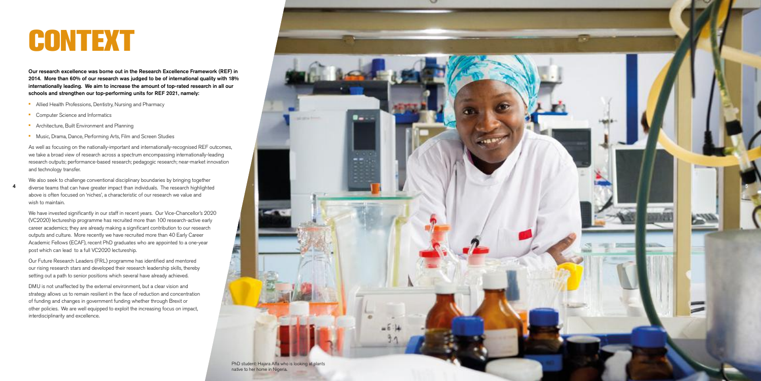4

## CONTEXT

Our research excellence was borne out in the Research Excellence Framework (REF) in 2014. More than 60% of our research was judged to be of international quality with 18% internationally leading. We aim to increase the amount of top-rated research in all our schools and strengthen our top-performing units for REF 2021, namely:

- Allied Health Professions, Dentistry, Nursing and Pharmacy
- Computer Science and Informatics
- Architecture, Built Environment and Planning
- Music, Drama, Dance, Performing Arts, Film and Screen Studies

As well as focusing on the nationally-important and internationally-recognised REF outcomes, we take a broad view of research across a spectrum encompassing internationally-leading research outputs; performance-based research; pedagogic research; near-market innovation and technology transfer.

We also seek to challenge conventional disciplinary boundaries by bringing together diverse teams that can have greater impact than individuals. The research highlighted above is often focused on 'niches', a characteristic of our research we value and wish to maintain.

We have invested significantly in our staff in recent years. Our Vice-Chancellor's 2020 (VC2020) lectureship programme has recruited more than 100 research-active early career academics; they are already making a significant contribution to our research outputs and culture. More recently we have recruited more than 40 Early Career Academic Fellows (ECAF), recent PhD graduates who are appointed to a one-year post which can lead to a full VC2020 lectureship.

Our Future Research Leaders (FRL) programme has identified and mentored our rising research stars and developed their research leadership skills, thereby setting out a path to senior positions which several have already achieved.

DMU is not unaffected by the external environment, but a clear vision and strategy allows us to remain resilient in the face of reduction and concentration of funding and changes in government funding whether through Brexit or other policies. We are well equipped to exploit the increasing focus on impact, interdisciplinarity and excellence.

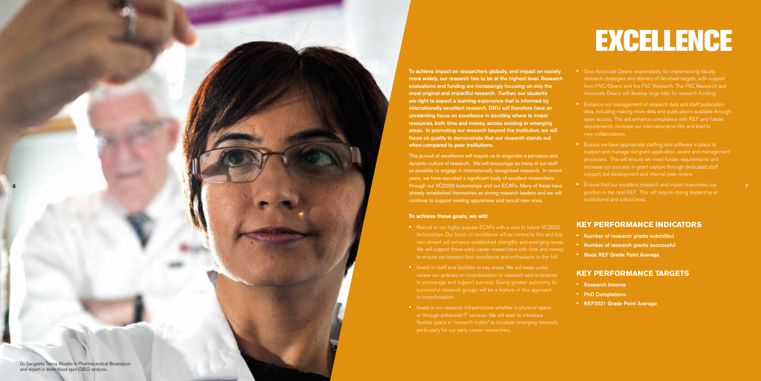

To achieve impact on researchers globally, and impact on society more widely, our research has to be at the highest level. Research evaluations and funding are increasingly focusing on only the most original and impactful research. Further, our students are right to expect a learning experience that is informed by internationally-excellent research. DMU will therefore have an unrelenting focus on excellence in deciding where to invest resources, both time and money, across existing or emerging areas. In promoting our research beyond the institution, we will focus on quality to demonstrate that our research stands out when compared to peer institutions.

This pursuit of excellence will require us to engender a pervasive and dynamic culture of research. We will encourage as many of our staff as possible to engage in internationally recognised research. In recent years, we have recruited a significant body of excellent researchers through our VC2020 lectureships and our ECAFs. Many of these have already established themselves as strong research leaders and we will continue to support existing appointees and recruit new ones.

• Give Associate Deans responsibility for implementing faculty research strategies and delivery of devolved targets, with support from PVC/Deans and the PVC Research. The PVC Research and Associate Deans will develop large bids for research funding.

#### **To achieve these goals, we will:**

• Ensure we have appropriate staffing and software in place to support and manage our grant application, award and management processes. This will ensure we meet funder requirements and increase our success in grant capture through dedicated staff support, bid development and internal peer review.

**• Ensure that our excellent research and impact maximises our** position in the next REF. This will require strong leadership at institutional and school level.

- Recruit to our highly popular ECAFs with a view to future VC2020 lectureships. Our focus on excellence will be central to this and this recruitment will enhance established strengths and emerging areas. We will support these early career researchers with time and money to ensure we harness their excellence and enthusiasm to the full.
- Invest in staff and facilities in key areas. We will keep under review our policies on incentivisation in research and enterprise to encourage and support success. Giving greater autonomy to successful research groups will be a feature of this approach to incentivisation.
- Invest in our research infrastructure whether in physical space or through enhanced IT services. We will seek to introduce flexible space in "research hotels" to incubate emerging research, particularly for our early-career researchers.
- 
- 
- 
- 

• Enhance our management of research data and staff publication data, including making more data and publications available through open access. This will enhance compliance with REF and funder requirements, increase our international profile and lead to new collaborations.

## **KEY PERFORMANCE INDICATORS**

- 
- 
- 

• Number of research grants submitted • Number of research grants successful • Mock REF Grade Point Average

## **KEY PERFORMANCE TARGETS**

- 
- 
- 

• Research Income • PhD Completions • REF2021 Grade Point Average

# EXCELLENCE

7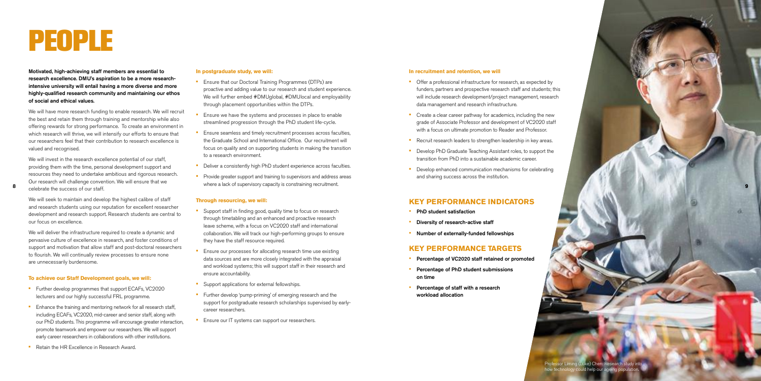#### **In recruitment and retention, we will**

- Offer a professional infrastructure for research, as expected by funders, partners and prospective research staff and students; this will include research development/project management, research data management and research infrastructure.
- Create a clear career pathway for academics, including the new grade of Associate Professor and development of VC2020 staff with a focus on ultimate promotion to Reader and Professor.
- Recruit research leaders to strengthen leadership in key areas.
- Develop PhD Graduate Teaching Assistant roles, to support the transition from PhD into a sustainable academic career.
- Develop enhanced communication mechanisms for celebrating and sharing success across the institution.

#### **KEY PERFORMANCE INDICATORS**

- PhD student satisfaction
- Diversity of research-active staff
- Number of externally-funded fellowships

#### **KEY PERFORMANCE TARGETS**

- Percentage of VC2020 staff retained or promoted
- Percentage of PhD student submissions on time
- Percentage of staff with a research workload allocation

Professor Liming (Luke) Chen: Research study into

Motivated, high-achieving staff members are essential to research excellence. DMU's aspiration to be a more researchintensive university will entail having a more diverse and more highly-qualified research community and maintaining our ethos of social and ethical values.

- Ensure that our Doctoral Training Programmes (DTPs) are proactive and adding value to our research and student experience. We will further embed #DMUglobal, #DMUlocal and employability through placement opportunities within the DTPs.
- Ensure we have the systems and processes in place to enable streamlined progression through the PhD student life-cycle.
- Ensure seamless and timely recruitment processes across faculties, the Graduate School and International Office. Our recruitment will focus on quality and on supporting students in making the transition to a research environment.
- Deliver a consistently high PhD student experience across faculties.
- Provide greater support and training to supervisors and address areas where a lack of supervisory capacity is constraining recruitment.

We will have more research funding to enable research. We will recruit the best and retain them through training and mentorship while also offering rewards for strong performance. To create an environment in which research will thrive, we will intensify our efforts to ensure that our researchers feel that their contribution to research excellence is valued and recognised.

We will invest in the research excellence potential of our staff, providing them with the time, personal development support and resources they need to undertake ambitious and rigorous research. Our research will challenge convention. We will ensure that we celebrate the success of our staff.

We will seek to maintain and develop the highest calibre of staff and research students using our reputation for excellent researcher development and research support. Research students are central to our focus on excellence.

We will deliver the infrastructure required to create a dynamic and pervasive culture of excellence in research, and foster conditions of support and motivation that allow staff and post-doctoral researchers to flourish. We will continually review processes to ensure none are unnecessarily burdensome.

#### **To achieve our Staff Development goals, we will:**

- Further develop programmes that support ECAFs, VC2020 lecturers and our highly successful FRL programme.
- Enhance the training and mentoring network for all research staff, including ECAFs, VC2020, mid-career and senior staff, along with our PhD students. This programme will encourage greater interaction, promote teamwork and empower our researchers. We will support early career researchers in collaborations with other institutions.
- Retain the HR Excellence in Research Award.

#### **In postgraduate study, we will:**

#### **Through resourcing, we will:**

- Support staff in finding good, quality time to focus on research through timetabling and an enhanced and proactive research leave scheme, with a focus on VC2020 staff and international collaboration. We will track our high-performing groups to ensure they have the staff resource required.
- Ensure our processes for allocating research time use existing data sources and are more closely integrated with the appraisal and workload systems; this will support staff in their research and ensure accountability.
- Support applications for external fellowships.
- Further develop 'pump-priming' of emerging research and the support for postgraduate research scholarships supervised by earlycareer researchers.
- **•** Ensure our IT systems can support our researchers.

## PEOPLE

8

9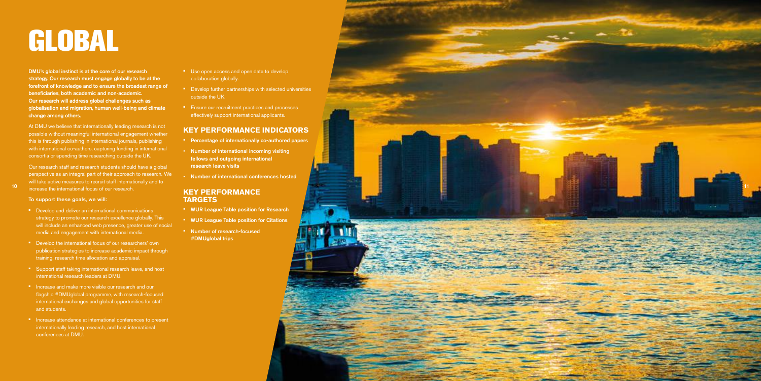DMU's global instinct is at the core of our research strategy. Our research must engage globally to be at the forefront of knowledge and to ensure the broadest range of beneficiaries, both academic and non-academic. Our research will address global challenges such as globalisation and migration, human well-being and climate change among others.



At DMU we believe that internationally leading research is not possible without meaningful international engagement whether this is through publishing in international journals, publishing with international co-authors, capturing funding in international consortia or spending time researching outside the UK.

Our research staff and research students should have a global perspective as an integral part of their approach to research. We will take active measures to recruit staff internationally and to

- Use open access and open data to develop collaboration globally.
- Develop further partnerships with selected universities outside the UK.
- Ensure our recruitment practices and processes effectively support international applicants.

- Develop and deliver an international communications strategy to promote our research excellence globally. This will include an enhanced web presence, greater use of social media and engagement with international media.
- Develop the international focus of our researchers' own publication strategies to increase academic impact through training, research time allocation and appraisal.
- Support staff taking international research leave, and host international research leaders at DMU.
- Increase and make more visible our research and our flagship #DMUglobal programme, with research-focused international exchanges and global opportunities for staff and students.
- Increase attendance at international conferences to present internationally leading research, and host international conferences at DMU.

## **KEY PERFORMANCE INDICATORS**

- Percentage of internationally co-authored papers
- Number of international incoming visiting fellows and outgoing international research leave visits
- Number of international conferences hosted

#### **KEY PERFORMANCE TARGETS**

- WUR League Table position for Research
- WUR League Table position for Citations • Number of research-focused

#DMUglobal trips

# GLOBAL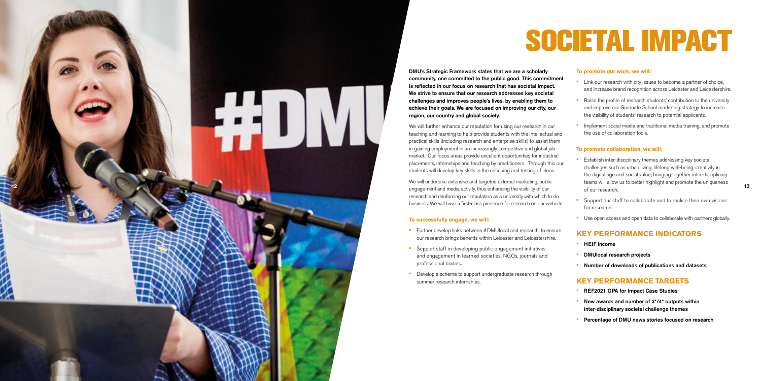# SOCIETAL IMPACT

DMU's Strategic Framework states that we are a scholarly community, one committed to the public good. This commitment is reflected in our focus on research that has societal impact. We strive to ensure that our research addresses key societal challenges and improves people's lives, by enabling them to achieve their goals. We are focused on improving our city, our

region, our country and global society.

We will further enhance our reputation for using our research in our teaching and learning to help provide students with the intellectual and practical skills (including research and enterprise skills) to assist them in gaining employment in an increasingly competitive and global job market. Our focus areas provide excellent opportunities for industrial placements, internships and teaching by practitioners. Through this our students will develop key skills in the critiquing and testing of ideas. We will undertake extensive and targeted external marketing, public

• Link our research with city issues to become a partner of choice, and increase brand recognition across Leicester and Leicestershire.

• Raise the profile of research students' contribution to the university and improve our Graduate School marketing strategy to increase the visibility of students' research to potential applicants.

• Implement social media and traditional media training, and promote the use of collaboration tools.

research and reinforcing our reputation as a university with which to do business. We will have a first-class presence for research on our website. **•** Establish inter-disciplinary themes addressing key societal challenges such as urban living, lifelong well-being, creativity in the digital age and social value; bringing together inter-disciplinary teams will allow us to better highlight and promote the uniqueness

• Support our staff to collaborate and to realise their own visions

• Use open access and open data to collaborate with partners globally.

**To successfully engage, we will:**

• Further develop links between #DMUlocal and research, to ensure our research brings benefits within Leicester and Leicestershire.

• Develop a scheme to support undergraduate research through

- Support staff in developing public engagement initiatives and engagement in learned societies, NGOs, journals and
	-
	-
	-
	-
	-

professional bodies.

- 
- 

summer research internships.

#### **To promote our work, we will:**



#### **To promote collaboration, we will:**

- of our research.
- for research.
- 

#### **KEY PERFORMANCE INDICATORS**

- HEIF income
- 

- 
- 
- 

• DMUlocal research projects

• Number of downloads of publications and datasets

## **KEY PERFORMANCE TARGETS**

• REF2021 GPA for Impact Case Studies

• New awards and number of 3\*/4\* outputs within inter-disciplinary societal challenge themes

• Percentage of DMU news stories focused on research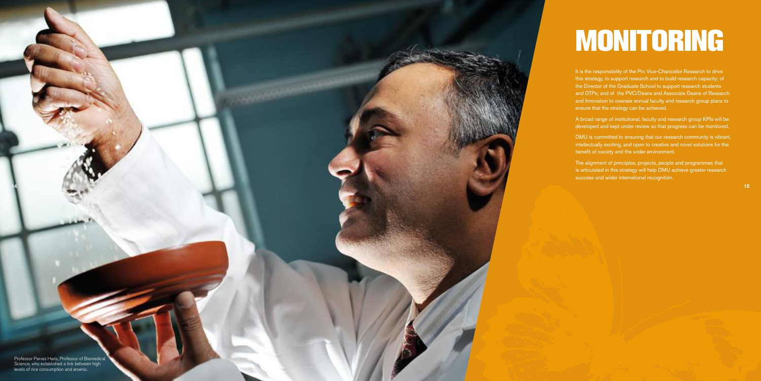# MONITORING

It is the responsibility of the Pro Vice-Chancellor Research to drive this strategy, to support research and to build research capacity; of the Director of the Graduate School to support research students and DTPs; and of the PVC/Deans and Associate Deans of Research and Innovation to oversee annual faculty and research group plans to ensure that the strategy can be achieved.

A broad range of institutional, faculty and research group KPIs will be developed and kept under review so that progress can be monitored.

DMU is committed to ensuring that our research community is vibrant, intellectually exciting, and open to creative and novel solutions for the benefit of society and the wider environment.

The alignment of principles, projects, people and programmes that is articulated in this strategy will help DMU achieve greater research success and wider international recognition.